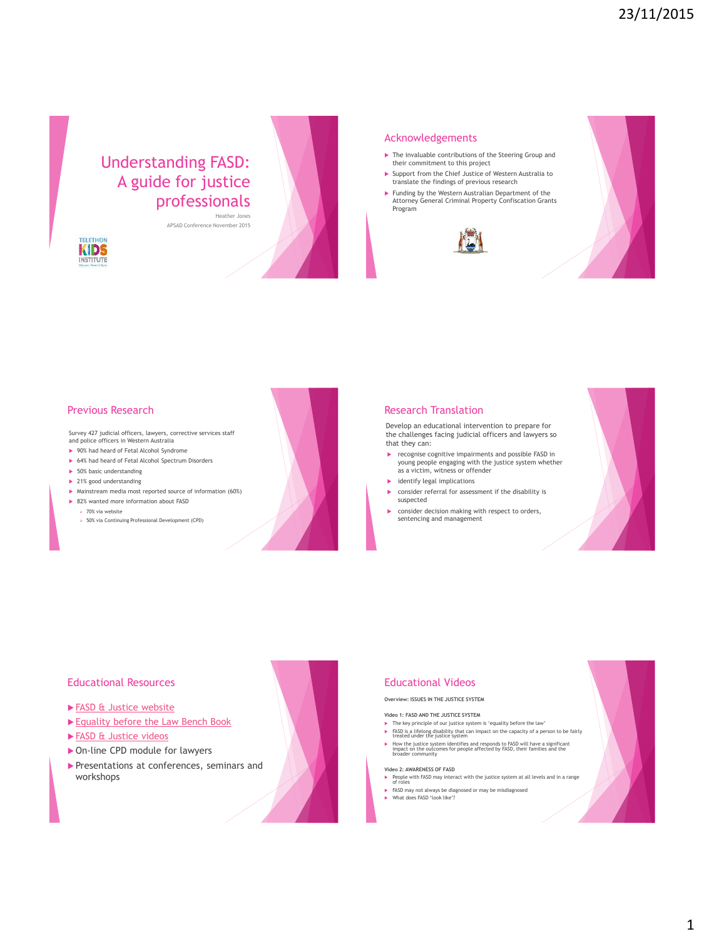# Understanding FASD: A guide for justice professionals

APSAD Conference November 2015





#### Acknowledgements

- **The invaluable contributions of the Steering Group and** their commitment to this project
- Support from the Chief Justice of Western Australia to translate the findings of previous research
- Funding by the Western Australian Department of the Attorney General Criminal Property Confiscation Grants Program





# Previous Research

Survey 427 judicial officers, lawyers, corrective services staff and police officers in Western Australia

- ▶ 90% had heard of Fetal Alcohol Syndrome
- ▶ 64% had heard of Fetal Alcohol Spectrum Disorders
- $\blacktriangleright$  50% basic understanding
- ▶ 21% good understanding
- Mainstream media most reported source of information (60%)
- ▶ 82% wanted more information about FASD
	- $> 70%$  via website
	- 50% via Continuing Professional Development (CPD)

#### Research Translation

Develop an educational intervention to prepare for the challenges facing judicial officers and lawyers so that they can:

- recognise cognitive impairments and possible FASD in young people engaging with the justice system whether as a victim, witness or offender
- $\blacktriangleright$  identify legal implications
- consider referral for assessment if the disability is suspected
- consider decision making with respect to orders, sentencing and management



# Educational Resources

- ▶ [FASD & Justice website](http://alcoholpregnancy.telethonkids.org.au/fasd-justice/)
- [Equality before the Law Bench Book](http://www.supremecourt.wa.gov.au/_files/equality_before_the_law_benchbook.pdf)
- ► [FASD & Justice videos](http://alcoholpregnancy.telethonkids.org.au/fasd-justice/professional-development/)
- ▶ On-line CPD module for lawyers
- Presentations at conferences, seminars and workshops



# **Overview: ISSUES IN THE JUSTICE SYSTEM**

#### **Video 1: FASD AND THE JUSTICE SYSTEM**

- The key principle of our justice system is 'equality before the law'
- FASD is a lifelong disability that can impact on the capacity of a person to be fairly treated under the justice system
- ► How the justice system identifies and responds to FASD will have a significant impact on the outcomes for people affected by FASD, their families and the broader community

#### **Video 2: AWARENESS OF FASD**

- People with FASD may interact with the justice system at all levels and in a range of roles
- FASD may not always be diagnosed or may be misdiagnosed What does FASD 'look like'?